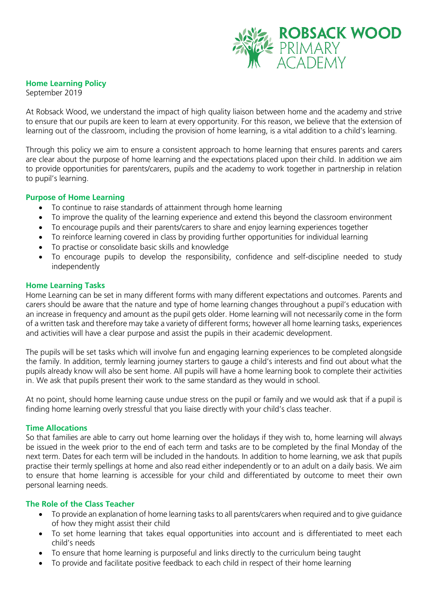

# **Home Learning Policy**

September 2019

At Robsack Wood, we understand the impact of high quality liaison between home and the academy and strive to ensure that our pupils are keen to learn at every opportunity. For this reason, we believe that the extension of learning out of the classroom, including the provision of home learning, is a vital addition to a child's learning.

Through this policy we aim to ensure a consistent approach to home learning that ensures parents and carers are clear about the purpose of home learning and the expectations placed upon their child. In addition we aim to provide opportunities for parents/carers, pupils and the academy to work together in partnership in relation to pupil's learning.

# **Purpose of Home Learning**

- To continue to raise standards of attainment through home learning
- To improve the quality of the learning experience and extend this beyond the classroom environment
- To encourage pupils and their parents/carers to share and enjoy learning experiences together
- To reinforce learning covered in class by providing further opportunities for individual learning
- To practise or consolidate basic skills and knowledge
- To encourage pupils to develop the responsibility, confidence and self-discipline needed to study independently

# **Home Learning Tasks**

Home Learning can be set in many different forms with many different expectations and outcomes. Parents and carers should be aware that the nature and type of home learning changes throughout a pupil's education with an increase in frequency and amount as the pupil gets older. Home learning will not necessarily come in the form of a written task and therefore may take a variety of different forms; however all home learning tasks, experiences and activities will have a clear purpose and assist the pupils in their academic development.

The pupils will be set tasks which will involve fun and engaging learning experiences to be completed alongside the family. In addition, termly learning journey starters to gauge a child's interests and find out about what the pupils already know will also be sent home. All pupils will have a home learning book to complete their activities in. We ask that pupils present their work to the same standard as they would in school.

At no point, should home learning cause undue stress on the pupil or family and we would ask that if a pupil is finding home learning overly stressful that you liaise directly with your child's class teacher.

# **Time Allocations**

So that families are able to carry out home learning over the holidays if they wish to, home learning will always be issued in the week prior to the end of each term and tasks are to be completed by the final Monday of the next term. Dates for each term will be included in the handouts. In addition to home learning, we ask that pupils practise their termly spellings at home and also read either independently or to an adult on a daily basis. We aim to ensure that home learning is accessible for your child and differentiated by outcome to meet their own personal learning needs.

# **The Role of the Class Teacher**

- To provide an explanation of home learning tasks to all parents/carers when required and to give guidance of how they might assist their child
- To set home learning that takes equal opportunities into account and is differentiated to meet each child's needs
- To ensure that home learning is purposeful and links directly to the curriculum being taught
- To provide and facilitate positive feedback to each child in respect of their home learning